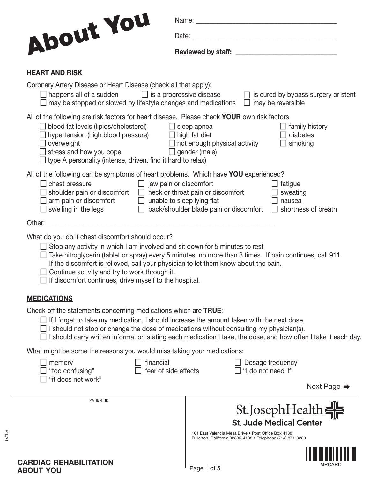| About You                                                                                                                                                                                                                                                                                                                   |                                                             |                                                         |
|-----------------------------------------------------------------------------------------------------------------------------------------------------------------------------------------------------------------------------------------------------------------------------------------------------------------------------|-------------------------------------------------------------|---------------------------------------------------------|
|                                                                                                                                                                                                                                                                                                                             |                                                             |                                                         |
|                                                                                                                                                                                                                                                                                                                             |                                                             |                                                         |
| <b>HEART AND RISK</b>                                                                                                                                                                                                                                                                                                       |                                                             |                                                         |
| Coronary Artery Disease or Heart Disease (check all that apply):<br>$\Box$ happens all of a sudden $\Box$ is a progressive disease<br>$\Box$ may be stopped or slowed by lifestyle changes and medications $\Box$ may be reversible                                                                                         |                                                             | $\Box$ is cured by bypass surgery or stent              |
| All of the following are risk factors for heart disease. Please check YOUR own risk factors<br>□ blood fat levels (lipids/cholesterol) □ sleep apnea<br>  hypertension (high blood pressure) □ high fat diet<br>overweight<br>stress and how you cope<br>$\Box$ type A personality (intense, driven, find it hard to relax) | $\Box$ not enough physical activity<br>$\Box$ gender (male) | family history<br>diabetes<br>smoking<br>$\mathbb{R}^n$ |
| All of the following can be symptoms of heart problems. Which have <b>YOU</b> experienced?<br>$\Box$ jaw pain or discomfort<br>$\Box$ chest pressure<br>shoulder pain or discomfort $\Box$ neck or throat pain or discomfort<br>$arm$ pain or discomfort $\Box$ unable to sleep lying flat<br>swelling in the legs          | $\Box$ back/shoulder blade pain or discomfort $\Box$        | fatigue<br>sweating<br>nausea<br>shortness of breath    |

Other:\_\_\_\_\_\_\_\_\_\_\_\_\_\_\_\_\_\_\_\_\_\_\_\_\_\_\_\_\_\_\_\_\_\_\_\_\_\_\_\_\_\_\_\_\_\_\_\_\_\_\_\_\_\_\_\_\_\_\_\_\_\_\_\_\_\_\_\_\_\_

What do you do if chest discomfort should occur?

- $\Box$  Stop any activity in which I am involved and sit down for 5 minutes to rest
- $\Box$  Take nitroglycerin (tablet or spray) every 5 minutes, no more than 3 times. If pain continues, call 911. If the discomfort is relieved, call your physician to let them know about the pain.
- $\Box$  Continue activity and try to work through it.
- $\Box$  If discomfort continues, drive myself to the hospital.

#### **MEDICATIONS**

Check off the statements concerning medications which are **TRUE**:

- $\Box$  If I forget to take my medication, I should increase the amount taken with the next dose.
- $\Box$  I should not stop or change the dose of medications without consulting my physician(s).
- $\Box$  I should carry written information stating each medication I take, the dose, and how often I take it each day.

What might be some the reasons you would miss taking your medications:

| <b>TINANCIAI</b> |       |  |  |
|------------------|-------|--|--|
|                  | 1. 1. |  |  |

 $\Box$  "it does not work"

- 
- 
- 
- $\Box$  memory  $\Box$  financial  $\Box$  Dosage frequency  $\Box$  "Lear of side effects  $\Box$  "I do not need it"  $\Box$  in the confusion confusion contract  $\Box$  is a set of side effects  $\Box$  if if do not need it"
- Next Page →

| PATIENT ID                    | St.JosephHealth<br><b>St. Jude Medical Center</b>                                                                  |
|-------------------------------|--------------------------------------------------------------------------------------------------------------------|
|                               | 101 East Valencia Mesa Drive • Post Office Box 4138<br>Fullerton, California 92835-4138 • Telephone (714) 871-3280 |
| <b>CARDIAC REHABILITATION</b> | <b>MRCARD</b>                                                                                                      |

296497 (7/15)

 $(7/15)$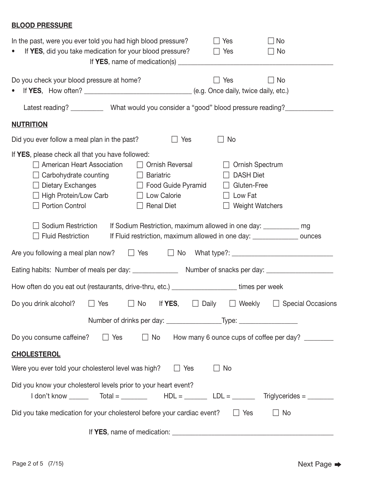## **BLOOD PRESSURE**

| In the past, were you ever told you had high blood pressure?<br>No<br>Yes<br>If YES, did you take medication for your blood pressure?<br>$\Box$ Yes<br>$\Box$ No<br>$\bullet$                                                                                                                                                                                                                                                                                                                                                                                                                                                           |
|-----------------------------------------------------------------------------------------------------------------------------------------------------------------------------------------------------------------------------------------------------------------------------------------------------------------------------------------------------------------------------------------------------------------------------------------------------------------------------------------------------------------------------------------------------------------------------------------------------------------------------------------|
| Do you check your blood pressure at home?<br>No<br>Yes                                                                                                                                                                                                                                                                                                                                                                                                                                                                                                                                                                                  |
| Latest reading? _____________ What would you consider a "good" blood pressure reading? _____________                                                                                                                                                                                                                                                                                                                                                                                                                                                                                                                                    |
| <b>NUTRITION</b>                                                                                                                                                                                                                                                                                                                                                                                                                                                                                                                                                                                                                        |
| Did you ever follow a meal plan in the past?<br>No<br>Yes                                                                                                                                                                                                                                                                                                                                                                                                                                                                                                                                                                               |
| If YES, please check all that you have followed:<br><b>American Heart Association</b><br><b>Ornish Reversal</b><br>Ornish Spectrum<br><b>Bariatric</b><br><b>DASH Diet</b><br>Carbohydrate counting<br><b>Contract Contract</b><br>Dietary Exchanges<br>□ Food Guide Pyramid<br>Gluten-Free<br>$\Box$ Low Calorie<br><b>High Protein/Low Carb</b><br>Low Fat<br><b>Portion Control</b><br><b>Renal Diet</b><br><b>Weight Watchers</b><br>Sodium Restriction<br>If Sodium Restriction, maximum allowed in one day: ___________ mg<br>If Fluid restriction, maximum allowed in one day: ______________ ounces<br><b>Fluid Restriction</b> |
| Are you following a meal plan now?<br>$\Box$ Yes<br>$\Box$ No                                                                                                                                                                                                                                                                                                                                                                                                                                                                                                                                                                           |
| Eating habits: Number of meals per day: __________________ Number of snacks per day: ________________________                                                                                                                                                                                                                                                                                                                                                                                                                                                                                                                           |
| How often do you eat out (restaurants, drive-thru, etc.) ____________________times per week                                                                                                                                                                                                                                                                                                                                                                                                                                                                                                                                             |
| <b>Special Occasions</b><br>If YES,<br>Daily<br>Do you drink alcohol?<br>No<br>Weekly<br>Yes                                                                                                                                                                                                                                                                                                                                                                                                                                                                                                                                            |
| Do you consume caffeine?<br>$\Box$ Yes<br>$\Box$ No<br>How many 6 ounce cups of coffee per day?                                                                                                                                                                                                                                                                                                                                                                                                                                                                                                                                         |
| <b>CHOLESTEROL</b>                                                                                                                                                                                                                                                                                                                                                                                                                                                                                                                                                                                                                      |
| Were you ever told your cholesterol level was high?<br>$\Box$ Yes<br>No                                                                                                                                                                                                                                                                                                                                                                                                                                                                                                                                                                 |
| Did you know your cholesterol levels prior to your heart event?                                                                                                                                                                                                                                                                                                                                                                                                                                                                                                                                                                         |
| Did you take medication for your cholesterol before your cardiac event? $\Box$ Yes<br>$\Box$ No                                                                                                                                                                                                                                                                                                                                                                                                                                                                                                                                         |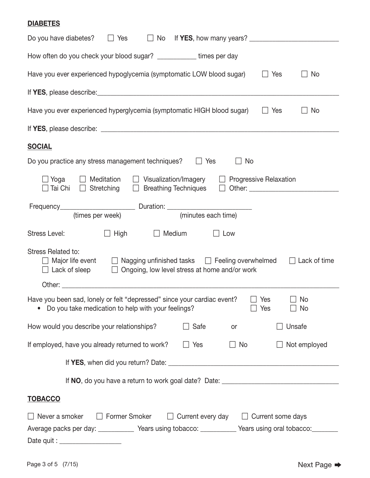## **DIABETES**

| Do you have diabetes?<br>$\Box$ Yes                                                                                                                                                                                                          |
|----------------------------------------------------------------------------------------------------------------------------------------------------------------------------------------------------------------------------------------------|
| How often do you check your blood sugar? _____________ times per day                                                                                                                                                                         |
| Have you ever experienced hypoglycemia (symptomatic LOW blood sugar)<br>$\Box$ Yes<br>$\Box$ No                                                                                                                                              |
|                                                                                                                                                                                                                                              |
| Have you ever experienced hyperglycemia (symptomatic HIGH blood sugar)<br>$\Box$ Yes<br>$\Box$ No                                                                                                                                            |
|                                                                                                                                                                                                                                              |
| <b>SOCIAL</b>                                                                                                                                                                                                                                |
| Do you practice any stress management techniques?<br>$\Box$ Yes<br>$\Box$ No                                                                                                                                                                 |
| $\Box$ Yoga $\Box$ Meditation $\Box$ Visualization/Imagery $\Box$ Progressive Relaxation<br>□ Tai Chi □ Stretching □ Breathing Techniques □ Other: ________________________                                                                  |
| (minutes each time)<br>(times per week)                                                                                                                                                                                                      |
| Stress Level:<br>□ High □ Medium<br>$\Box$ Low                                                                                                                                                                                               |
| Stress Related to:<br>$\Box$ Major life event $\Box$ Nagging unfinished tasks $\Box$ Feeling overwhelmed<br>$\Box$ Lack of time<br>$\Box$ Lack of sleep<br>$\Box$ Ongoing, low level stress at home and/or work                              |
| Other:                                                                                                                                                                                                                                       |
| Have you been sad, lonely or felt "depressed" since your cardiac event?<br>$\Box$ Yes<br>No<br>Do you take medication to help with your feelings?<br>Yes<br>No                                                                               |
| How would you describe your relationships?<br>Safe<br>Unsafe<br>or                                                                                                                                                                           |
| If employed, have you already returned to work?<br>Not employed<br>$\Box$ Yes<br>$\Box$ No                                                                                                                                                   |
|                                                                                                                                                                                                                                              |
|                                                                                                                                                                                                                                              |
| <b>TOBACCO</b>                                                                                                                                                                                                                               |
| $\Box$ Never a smoker<br>$\Box$ Former Smoker $\Box$ Current every day $\Box$ Current some days<br>Average packs per day: ____________ Years using tobacco: __________ Years using oral tobacco: _______<br>Date quit : ____________________ |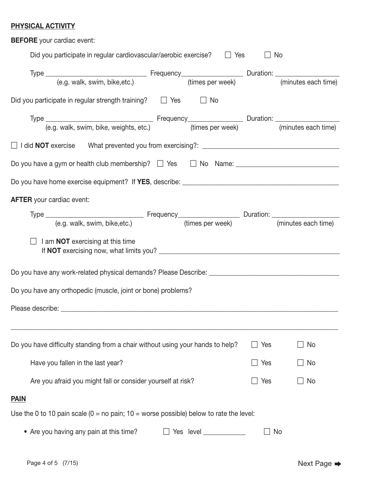## **PHYSICAL ACTIVITY**

| <b>BEFORE</b> your cardiac event:                                                                          |               |     |
|------------------------------------------------------------------------------------------------------------|---------------|-----|
| Did you participate in regular cardiovascular/aerobic exercise? $\Box$ Yes                                 | $\Box$ No     |     |
|                                                                                                            |               |     |
| Did you participate in regular strength training? $\Box$ Yes $\Box$ No                                     |               |     |
|                                                                                                            |               |     |
|                                                                                                            |               |     |
|                                                                                                            |               |     |
|                                                                                                            |               |     |
| <b>AFTER</b> your cardiac event:                                                                           |               |     |
|                                                                                                            |               |     |
| $\Box$ I am <b>NOT</b> exercising at this time                                                             |               |     |
|                                                                                                            |               |     |
| Do you have any orthopedic (muscle, joint or bone) problems?                                               |               |     |
| Please describe: _                                                                                         |               |     |
|                                                                                                            |               |     |
| Do you have difficulty standing from a chair without using your hands to help?                             | $\Box$ Yes    | No  |
| Have you fallen in the last year?                                                                          | Yes<br>$\Box$ | No. |
| Are you afraid you might fall or consider yourself at risk?                                                | Yes           | No  |
| <b>PAIN</b>                                                                                                |               |     |
| Use the 0 to 10 pain scale $(0 = no \,\text{pain}; 10 = worse \,\text{possible})$ below to rate the level: |               |     |
| • Are you having any pain at this time?<br>Yes level                                                       |               | No  |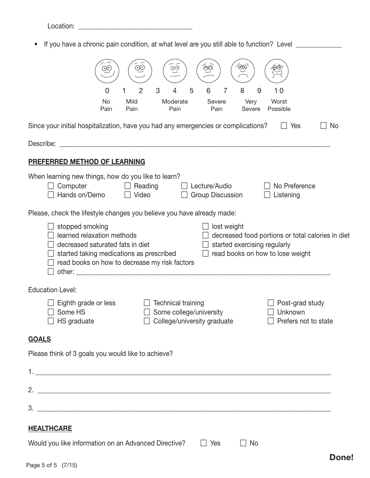Location: \_\_\_\_\_\_\_\_\_\_\_\_\_\_\_\_\_\_\_\_\_\_\_\_\_\_\_\_\_\_\_\_\_\_\_

• If you have a chronic pain condition, at what level are you still able to function? Level \_\_\_\_\_\_\_\_\_\_\_\_\_

| $\widehat{\infty}$<br>∞<br>$\widetilde{\odot}$<br>$\widehat{\odot}$<br>$\widetilde{\mathcal{X}}$                                                                                                                                                                                                                                                                                                                                                                                                                                                         |
|----------------------------------------------------------------------------------------------------------------------------------------------------------------------------------------------------------------------------------------------------------------------------------------------------------------------------------------------------------------------------------------------------------------------------------------------------------------------------------------------------------------------------------------------------------|
| 2<br>3<br>5<br>8<br>6<br>7<br>9<br>10<br>0<br>1                                                                                                                                                                                                                                                                                                                                                                                                                                                                                                          |
| Worst<br>No<br>Mild<br>Moderate<br>Severe<br>Very<br>Pain<br>Pain<br>Possible<br>Pain<br>Pain<br>Severe                                                                                                                                                                                                                                                                                                                                                                                                                                                  |
| Since your initial hospitalization, have you had any emergencies or complications?<br>Yes<br>No<br>$\perp$                                                                                                                                                                                                                                                                                                                                                                                                                                               |
| Describe:<br><u> 1989 - Johann Barbara, martxa alemaniar a</u>                                                                                                                                                                                                                                                                                                                                                                                                                                                                                           |
| PREFERRED METHOD OF LEARNING                                                                                                                                                                                                                                                                                                                                                                                                                                                                                                                             |
| When learning new things, how do you like to learn?<br>Computer<br>$\Box$ Reading<br>Lecture/Audio<br>No Preference<br>Hands on/Demo<br>Video<br><b>Group Discussion</b><br>Listening<br>$\perp$                                                                                                                                                                                                                                                                                                                                                         |
| Please, check the lifestyle changes you believe you have already made:                                                                                                                                                                                                                                                                                                                                                                                                                                                                                   |
| stopped smoking<br>lost weight<br>learned relaxation methods<br>decreased food portions or total calories in diet<br>decreased saturated fats in diet<br>started exercising regularly<br>read books on how to lose weight<br>started taking medications as prescribed<br>read books on how to decrease my risk factors<br>other: when the contract of the contract of the contract of the contract of the contract of the contract of the contract of the contract of the contract of the contract of the contract of the contract of the contract of th |
| <b>Education Level:</b>                                                                                                                                                                                                                                                                                                                                                                                                                                                                                                                                  |
| Eighth grade or less<br><b>Technical training</b><br>Post-grad study<br>Some HS<br>Some college/university<br>Unknown<br>College/university graduate<br>HS graduate<br>Prefers not to state                                                                                                                                                                                                                                                                                                                                                              |
| <b>GOALS</b>                                                                                                                                                                                                                                                                                                                                                                                                                                                                                                                                             |
| Please think of 3 goals you would like to achieve?                                                                                                                                                                                                                                                                                                                                                                                                                                                                                                       |
|                                                                                                                                                                                                                                                                                                                                                                                                                                                                                                                                                          |
|                                                                                                                                                                                                                                                                                                                                                                                                                                                                                                                                                          |
|                                                                                                                                                                                                                                                                                                                                                                                                                                                                                                                                                          |
| <b>HEALTHCARE</b>                                                                                                                                                                                                                                                                                                                                                                                                                                                                                                                                        |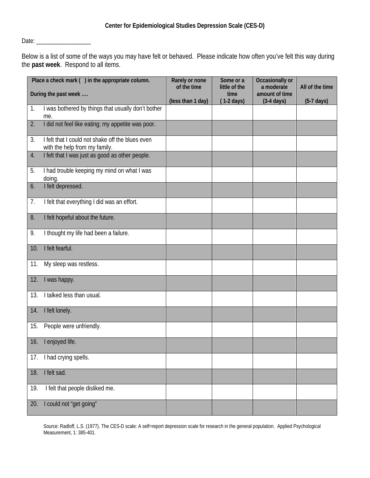Date: \_\_\_\_\_\_\_\_\_\_\_\_\_\_\_\_\_\_

Below is a list of some of the ways you may have felt or behaved. Please indicate how often you've felt this way during the **past week**. Respond to all items.

|     | Place a check mark () in the appropriate column.                                  | Rarely or none<br>of the time | Some or a<br>little of the   | Occasionally or<br>a moderate          | All of the time      |
|-----|-----------------------------------------------------------------------------------|-------------------------------|------------------------------|----------------------------------------|----------------------|
|     | During the past week                                                              | (less than 1 day)             | time<br>$(1-2 \text{ days})$ | amount of time<br>$(3-4 \text{ days})$ | $(5-7 \text{ days})$ |
| 1.  | I was bothered by things that usually don't bother<br>me.                         |                               |                              |                                        |                      |
| 2.  | I did not feel like eating; my appetite was poor.                                 |                               |                              |                                        |                      |
| 3.  | I felt that I could not shake off the blues even<br>with the help from my family. |                               |                              |                                        |                      |
| 4.  | I felt that I was just as good as other people.                                   |                               |                              |                                        |                      |
| 5.  | I had trouble keeping my mind on what I was<br>doing.                             |                               |                              |                                        |                      |
| 6.  | I felt depressed.                                                                 |                               |                              |                                        |                      |
| 7.  | I felt that everything I did was an effort.                                       |                               |                              |                                        |                      |
| 8.  | I felt hopeful about the future.                                                  |                               |                              |                                        |                      |
| 9.  | I thought my life had been a failure.                                             |                               |                              |                                        |                      |
| 10. | I felt fearful.                                                                   |                               |                              |                                        |                      |
| 11. | My sleep was restless.                                                            |                               |                              |                                        |                      |
| 12. | I was happy.                                                                      |                               |                              |                                        |                      |
| 13. | I talked less than usual.                                                         |                               |                              |                                        |                      |
| 14. | I felt lonely.                                                                    |                               |                              |                                        |                      |
| 15. | People were unfriendly.                                                           |                               |                              |                                        |                      |
| 16. | I enjoyed life.                                                                   |                               |                              |                                        |                      |
| 17. | I had crying spells.                                                              |                               |                              |                                        |                      |
| 18. | I felt sad.                                                                       |                               |                              |                                        |                      |
| 19. | I felt that people disliked me.                                                   |                               |                              |                                        |                      |
| 20. | I could not "get going"                                                           |                               |                              |                                        |                      |

Source: Radloff, L.S. (1977). The CES-D scale: A self=report depression scale for research in the general population. Applied Psychological Measurement, 1: 385-401.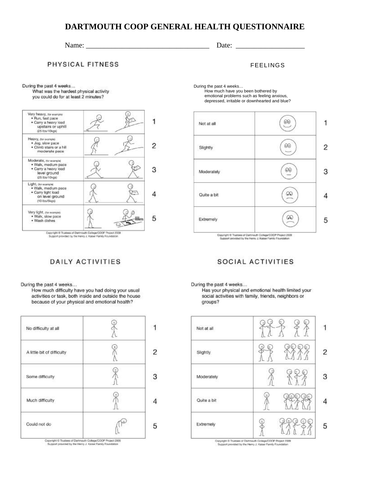## **DARTMOUTH COOP GENERAL HEALTH QUESTIONNAIRE**

## Name: \_\_\_\_\_\_\_\_\_\_\_\_\_\_\_\_\_\_\_\_\_\_\_\_\_\_\_\_\_\_\_\_\_\_ Date: \_\_\_\_\_\_\_\_\_\_\_\_\_\_\_\_\_\_\_

PHYSICAL FITNESS

During the past 4 weeks...

What was the hardest physical activity you could do for at least 2 minutes?



## Copyright @ Trustees of Dartmouth College/COOP Project 2009<br>Bupport provided by the Henry J. Kaloer Family Foundation

## **DAILY ACTIVITIES**

During the past 4 weeks...

How much difficulty have you had doing your usual activities or task, both inside and outside the house because of your physical and emotional health?

| No difficulty at all       |   |
|----------------------------|---|
| A little bit of difficulty |   |
| Some difficulty            |   |
| Much difficulty            |   |
| Could not do               | 5 |

Copyright to Inustees of Dartmouth College/COOP Project 2005<br>Support provided by the Henry J. Kaiser Family Foundation

FEELINGS

During the past 4 weeks… How much have you been bothered by

emotional problems such as feeling anxious, depressed, irritable or downhearted and blue?



Copyright @ Trustees of Dartmouth College/COOP Project 2006<br>Support provided by the Henry J. Keiser Family Foundation

## SOCIAL ACTIVITIES

During the past 4 weeks...

Has your physical and emotional health limited your social activities with family, friends, neighbors or groups?

| Not at all  | 'n      |
|-------------|---------|
| Slightly    | е<br>48 |
| Moderately  | 'n      |
| Quite a bit | m       |
| Extremely   | í.      |

Copyright & Trustees of Dartmouth College/DOOP Project 2009<br>Support provided by the Henry J. Kaiser Family Foundation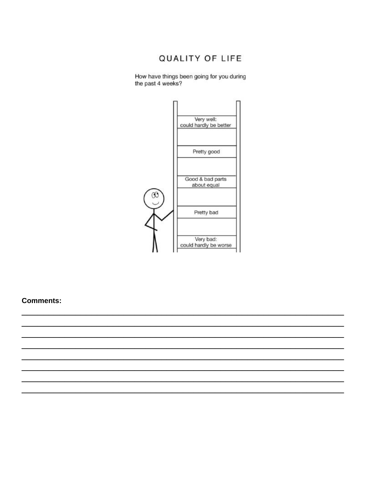## QUALITY OF LIFE

How have things been going for you during<br>the past 4 weeks?



**Comments:**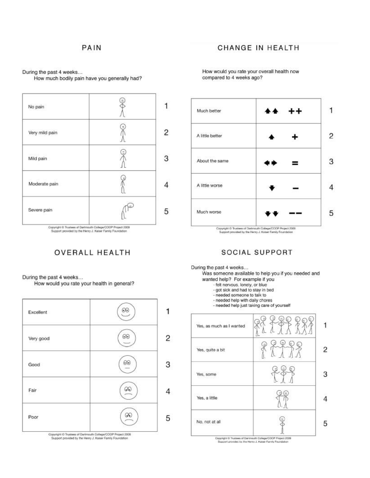## **CHANGE IN HEALTH**

During the past 4 weeks...

How much bodily pain have you generally had?



Copyright © Trustees of Dartmouth College/COOP Project 2009<br>Support provided by the Henry J. Kaiser Family Foundation

## **OVERALL HEALTH**

During the past 4 weeks...

How would you rate your health in general?



Copyright C Trustees of Dartmouth College/CCOP Project 2009<br>Support provided by the Henry J. Kaiser Family Foundation

How would you rate your overall health now compared to 4 weeks ago?



#### **SOCIAL SUPPORT**

During the past 4 weeks...

Was someone available to help you if you needed and wanted help? For example if you

- felt nervous, lonely, or blue
- got sick and had to stay in bed
- needed someone to talk to
- needed help with daily chores
- needed help just taking care of yourself



Copyright © Trustees of Dartmouth College/COOP Project 2009<br>Beacort provided by the Henry J. Kaiser Family Foundation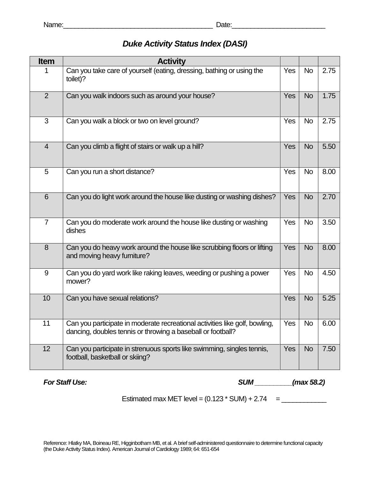# *Duke Activity Status Index (DASI)*

| Item           | <b>Activity</b>                                                                                                                            |            |           |      |
|----------------|--------------------------------------------------------------------------------------------------------------------------------------------|------------|-----------|------|
| 1              | Can you take care of yourself (eating, dressing, bathing or using the<br>toilet)?                                                          | Yes        | <b>No</b> | 2.75 |
| 2              | Can you walk indoors such as around your house?                                                                                            | <b>Yes</b> | <b>No</b> | 1.75 |
| 3              | Can you walk a block or two on level ground?                                                                                               | Yes        | <b>No</b> | 2.75 |
| $\overline{4}$ | Can you climb a flight of stairs or walk up a hill?                                                                                        | Yes        | <b>No</b> | 5.50 |
| 5              | Can you run a short distance?                                                                                                              | <b>Yes</b> | <b>No</b> | 8.00 |
| 6              | Can you do light work around the house like dusting or washing dishes?                                                                     | Yes        | <b>No</b> | 2.70 |
| $\overline{7}$ | Can you do moderate work around the house like dusting or washing<br>dishes                                                                | Yes        | <b>No</b> | 3.50 |
| 8              | Can you do heavy work around the house like scrubbing floors or lifting<br>and moving heavy furniture?                                     | Yes        | <b>No</b> | 8.00 |
| 9              | Can you do yard work like raking leaves, weeding or pushing a power<br>mower?                                                              | Yes        | <b>No</b> | 4.50 |
| 10             | Can you have sexual relations?                                                                                                             | Yes        | <b>No</b> | 5.25 |
| 11             | Can you participate in moderate recreational activities like golf, bowling,<br>dancing, doubles tennis or throwing a baseball or football? | Yes        | <b>No</b> | 6.00 |
| 12             | Can you participate in strenuous sports like swimming, singles tennis,<br>football, basketball or skiing?                                  | Yes        | <b>No</b> | 7.50 |

*For Staff Use:* (*max 58.2*)

Estimated max MET level = (0.123 \* SUM) + 2.74 = \_\_\_\_\_\_\_\_\_\_\_\_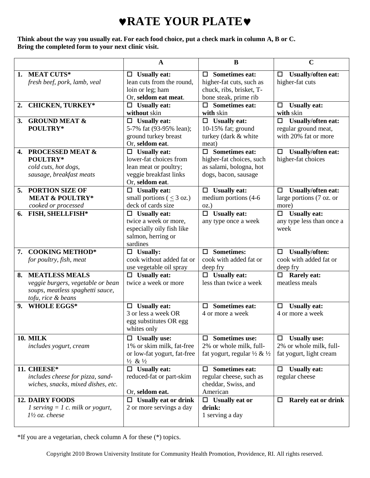# ♥**RATE YOUR PLATE**♥

**Think about the way you usually eat. For each food choice, put a check mark in column A, B or C. Bring the completed form to your next clinic visit.**

|    |                                                                                                                      | $\mathbf A$                                                                                                         | B                                                                                                      | $\mathbf C$                                                                    |
|----|----------------------------------------------------------------------------------------------------------------------|---------------------------------------------------------------------------------------------------------------------|--------------------------------------------------------------------------------------------------------|--------------------------------------------------------------------------------|
| 1. | <b>MEAT CUTS*</b><br>fresh beef, pork, lamb, veal                                                                    | $\Box$ Usually eat:<br>lean cuts from the round,<br>loin or leg; ham<br>Or, seldom eat meat.                        | $\Box$ Sometimes eat:<br>higher-fat cuts, such as<br>chuck, ribs, brisket, T-<br>bone steak, prime rib | <b>Usually/often eat:</b><br>$\Box$<br>higher-fat cuts                         |
| 2. | <b>CHICKEN, TURKEY*</b>                                                                                              | $\Box$ Usually eat:<br>without skin                                                                                 | $\Box$ Sometimes eat:<br>with skin                                                                     | <b>Usually eat:</b><br>□<br>with skin                                          |
| 3. | <b>GROUND MEAT &amp;</b><br>POULTRY*                                                                                 | $\Box$ Usually eat:<br>5-7% fat (93-95% lean);<br>ground turkey breast<br>Or, seldom eat.                           | $\Box$ Usually eat:<br>10-15% fat; ground<br>turkey (dark & white<br>meat)                             | <b>Usually/often eat:</b><br>□<br>regular ground meat,<br>with 20% fat or more |
| 4. | <b>PROCESSED MEAT &amp;</b><br>POULTRY*<br>cold cuts, hot dogs,<br>sausage, breakfast meats                          | $\Box$ Usually eat:<br>lower-fat choices from<br>lean meat or poultry;<br>veggie breakfast links<br>Or, seldom eat. | $\Box$ Sometimes eat:<br>higher-fat choices, such<br>as salami, bologna, hot<br>dogs, bacon, sausage   | <b>Usually/often eat:</b><br>□<br>higher-fat choices                           |
| 5. | <b>PORTION SIZE OF</b><br><b>MEAT &amp; POULTRY*</b><br>cooked or processed                                          | $\Box$ Usually eat:<br>small portions ( $\leq$ 3 oz.)<br>deck of cards size                                         | $\Box$ Usually eat:<br>medium portions (4-6<br>$OZ$ .                                                  | <b>Usually/often eat:</b><br>□<br>large portions (7 oz. or<br>more)            |
| 6. | FISH, SHELLFISH*                                                                                                     | $\Box$ Usually eat:<br>twice a week or more,<br>especially oily fish like<br>salmon, herring or<br>sardines         | $\Box$ Usually eat:<br>any type once a week                                                            | <b>Usually eat:</b><br>□<br>any type less than once a<br>week                  |
|    | 7. COOKING METHOD*<br>for poultry, fish, meat                                                                        | $\Box$ Usually:<br>cook without added fat or<br>use vegetable oil spray                                             | $\square$ Sometimes:<br>cook with added fat or<br>deep fry                                             | <b>Usually/often:</b><br>$\Box$<br>cook with added fat or<br>deep fry          |
| 8. | <b>MEATLESS MEALS</b><br>veggie burgers, vegetable or bean<br>soups, meatless spaghetti sauce,<br>tofu, rice & beans | $\Box$ Usually eat:<br>twice a week or more                                                                         | $\Box$ Usually eat:<br>less than twice a week                                                          | $\Box$ Rarely eat:<br>meatless meals                                           |
| 9. | <b>WHOLE EGGS*</b>                                                                                                   | $\Box$ Usually eat:<br>3 or less a week OR<br>egg substitutes OR egg<br>whites only                                 | <b>Sometimes eat:</b><br>$\Box$<br>4 or more a week                                                    | <b>Usually eat:</b><br>□<br>4 or more a week                                   |
|    | <b>10. MILK</b><br>includes yogurt, cream                                                                            | $\Box$ Usually use:<br>1% or skim milk, fat-free<br>or low-fat yogurt, fat-free<br>$\frac{1}{2}$ & $\frac{1}{2}$    | $\Box$ Sometimes use:<br>2% or whole milk, full-<br>fat yogurt, regular 1/2 & 1/2                      | <b>Usually use:</b><br>□<br>2% or whole milk, full-<br>fat yogurt, light cream |
|    | 11. CHEESE*<br>includes cheese for pizza, sand-<br>wiches, snacks, mixed dishes, etc.                                | $\Box$ Usually eat:<br>reduced-fat or part-skim<br>Or, seldom eat.                                                  | $\Box$ Sometimes eat:<br>regular cheese, such as<br>cheddar, Swiss, and<br>American                    | <b>Usually eat:</b><br>□<br>regular cheese                                     |
|    | <b>12. DAIRY FOODS</b><br>1 serving $= 1$ c. milk or yogurt,<br>$1\frac{1}{2}$ oz. cheese                            | $\Box$ Usually eat or drink<br>2 or more servings a day                                                             | $\Box$ Usually eat or<br>drink:<br>1 serving a day                                                     | Rarely eat or drink<br>□                                                       |

\*If you are a vegetarian, check column A for these (\*) topics.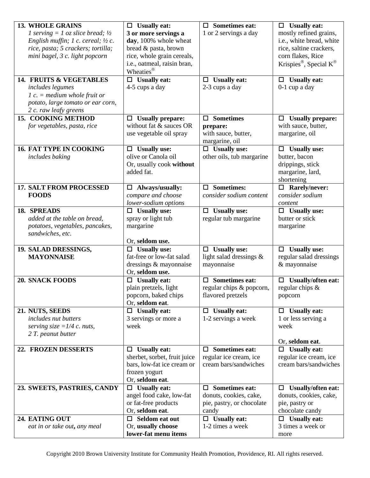| <b>13. WHOLE GRAINS</b>                       | $\Box$ Usually eat:                    | $\Box$ Sometimes eat:       | $\Box$ Usually eat:                    |
|-----------------------------------------------|----------------------------------------|-----------------------------|----------------------------------------|
| 1 serving = 1 oz slice bread; $\frac{1}{2}$   | 3 or more servings a                   | 1 or 2 servings a day       | mostly refined grains,                 |
| English muffin; 1 c. cereal; $\frac{1}{2}$ c. | day, 100% whole wheat                  |                             | i.e., white bread, white               |
| rice, pasta; 5 crackers; tortilla;            | bread & pasta, brown                   |                             | rice, saltine crackers,                |
| mini bagel, 3 c. light popcorn                | rice, whole grain cereals,             |                             | corn flakes, Rice                      |
|                                               | i.e., oatmeal, raisin bran,            |                             | Krispies®, Special K®                  |
|                                               | Wheaties <sup>®</sup>                  |                             |                                        |
| 14. FRUITS & VEGETABLES                       | $\Box$ Usually eat:                    | $\Box$ Usually eat:         | $\Box$ Usually eat:                    |
| includes legumes                              | 4-5 cups a day                         | 2-3 cups a day              | $0-1$ cup a day                        |
| $1 c. = medium whole fruit or$                |                                        |                             |                                        |
| potato, large tomato or ear corn,             |                                        |                             |                                        |
| 2 c. raw leafy greens                         |                                        |                             |                                        |
| 15. COOKING METHOD                            | <b>Usually prepare:</b><br>□           | $\square$ Sometimes         | <b>Usually prepare:</b><br>0           |
| for vegetables, pasta, rice                   | without fat & sauces OR                | prepare:                    | with sauce, butter,                    |
|                                               | use vegetable oil spray                | with sauce, butter,         | margarine, oil                         |
|                                               |                                        | margarine, oil              |                                        |
| <b>16. FAT TYPE IN COOKING</b>                | $\Box$ Usually use:                    | $\Box$ Usually use:         | $\Box$ Usually use:                    |
| includes baking                               | olive or Canola oil                    | other oils, tub margarine   | butter, bacon                          |
|                                               | Or, usually cook without<br>added fat. |                             | drippings, stick                       |
|                                               |                                        |                             | margarine, lard,                       |
| <b>17. SALT FROM PROCESSED</b>                | Always/usually:                        | $\square$ Sometimes:        | shortening<br>$\Box$ Rarely/never:     |
| <b>FOODS</b>                                  | $\Box$<br>compare and choose           | consider sodium content     | consider sodium                        |
|                                               | lower-sodium options                   |                             | content                                |
| 18. SPREADS                                   | $\Box$ Usually use:                    | $\Box$ Usually use:         | <b>Usually use:</b>                    |
| added at the table on bread,                  | spray or light tub                     | regular tub margarine       | butter or stick                        |
| potatoes, vegetables, pancakes,               | margarine                              |                             | margarine                              |
| sandwiches, etc.                              |                                        |                             |                                        |
|                                               | Or, seldom use.                        |                             |                                        |
| 19. SALAD DRESSINGS,                          | $\Box$ Usually use:                    | $\Box$ Usually use:         | $\Box$ Usually use:                    |
| <b>MAYONNAISE</b>                             | fat-free or low-fat salad              | light salad dressings &     | regular salad dressings                |
|                                               | dressings & mayonnaise                 | mayonnaise                  | & mayonnaise                           |
|                                               | Or, seldom use.                        |                             |                                        |
| <b>20. SNACK FOODS</b>                        | $\Box$ Usually eat:                    | <b>Sometimes eat:</b><br>п. | <b>Usually/often eat:</b><br>$\Box$    |
|                                               | plain pretzels, light                  | regular chips & popcorn,    | regular chips $\&$                     |
|                                               | popcorn, baked chips                   | flavored pretzels           | popcorn                                |
|                                               | Or, seldom eat.                        |                             |                                        |
| 21. NUTS, SEEDS                               | $\Box$ Usually eat:                    | $\Box$ Usually eat:         | $\Box$ Usually eat:                    |
| includes nut butters                          | 3 servings or more a                   | 1-2 servings a week         | 1 or less serving a                    |
| serving size = $1/4$ c. nuts,                 | week                                   |                             | week                                   |
| 2 T. peanut butter                            |                                        |                             |                                        |
| 22. FROZEN DESSERTS                           | <b>Usually eat:</b><br>$\Box$          | $\Box$ Sometimes eat:       | Or, seldom eat.<br><b>Usually eat:</b> |
|                                               | sherbet, sorbet, fruit juice           | regular ice cream, ice      | regular ice cream, ice                 |
|                                               | bars, low-fat ice cream or             | cream bars/sandwiches       | cream bars/sandwiches                  |
|                                               | frozen yogurt                          |                             |                                        |
|                                               | Or, seldom eat.                        |                             |                                        |
| 23. SWEETS, PASTRIES, CANDY                   | $\Box$ Usually eat:                    | $\Box$ Sometimes eat:       | Usually/often eat:<br>□                |
|                                               | angel food cake, low-fat               | donuts, cookies, cake,      | donuts, cookies, cake,                 |
|                                               | or fat-free products                   | pie, pastry, or chocolate   | pie, pastry or                         |
|                                               | Or, seldom eat.                        | candy                       | chocolate candy                        |
| 24. EATING OUT                                | $\Box$ Seldom eat out                  | $\Box$ Usually eat:         | $\Box$ Usually eat:                    |
| eat in or take out, any meal                  | Or, usually choose                     | 1-2 times a week            | 3 times a week or                      |
|                                               | lower-fat menu items                   |                             | more                                   |